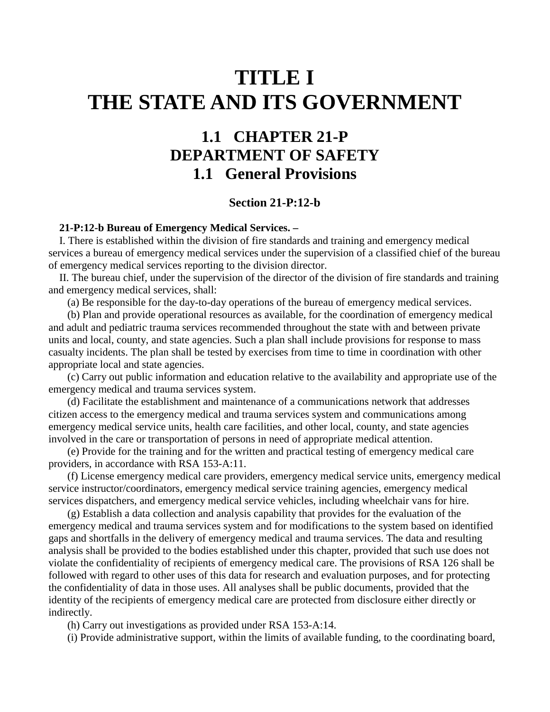## **TITLE I THE STATE AND ITS GOVERNMENT**

## **1.1 CHAPTER 21-P DEPARTMENT OF SAFETY 1.1 General Provisions**

## **Section 21-P:12-b**

## **21-P:12-b Bureau of Emergency Medical Services. –**

 I. There is established within the division of fire standards and training and emergency medical services a bureau of emergency medical services under the supervision of a classified chief of the bureau of emergency medical services reporting to the division director.

 II. The bureau chief, under the supervision of the director of the division of fire standards and training and emergency medical services, shall:

(a) Be responsible for the day-to-day operations of the bureau of emergency medical services.

 (b) Plan and provide operational resources as available, for the coordination of emergency medical and adult and pediatric trauma services recommended throughout the state with and between private units and local, county, and state agencies. Such a plan shall include provisions for response to mass casualty incidents. The plan shall be tested by exercises from time to time in coordination with other appropriate local and state agencies.

 (c) Carry out public information and education relative to the availability and appropriate use of the emergency medical and trauma services system.

 (d) Facilitate the establishment and maintenance of a communications network that addresses citizen access to the emergency medical and trauma services system and communications among emergency medical service units, health care facilities, and other local, county, and state agencies involved in the care or transportation of persons in need of appropriate medical attention.

 (e) Provide for the training and for the written and practical testing of emergency medical care providers, in accordance with RSA 153-A:11.

 (f) License emergency medical care providers, emergency medical service units, emergency medical service instructor/coordinators, emergency medical service training agencies, emergency medical services dispatchers, and emergency medical service vehicles, including wheelchair vans for hire.

 (g) Establish a data collection and analysis capability that provides for the evaluation of the emergency medical and trauma services system and for modifications to the system based on identified gaps and shortfalls in the delivery of emergency medical and trauma services. The data and resulting analysis shall be provided to the bodies established under this chapter, provided that such use does not violate the confidentiality of recipients of emergency medical care. The provisions of RSA 126 shall be followed with regard to other uses of this data for research and evaluation purposes, and for protecting the confidentiality of data in those uses. All analyses shall be public documents, provided that the identity of the recipients of emergency medical care are protected from disclosure either directly or indirectly.

(h) Carry out investigations as provided under RSA 153-A:14.

(i) Provide administrative support, within the limits of available funding, to the coordinating board,